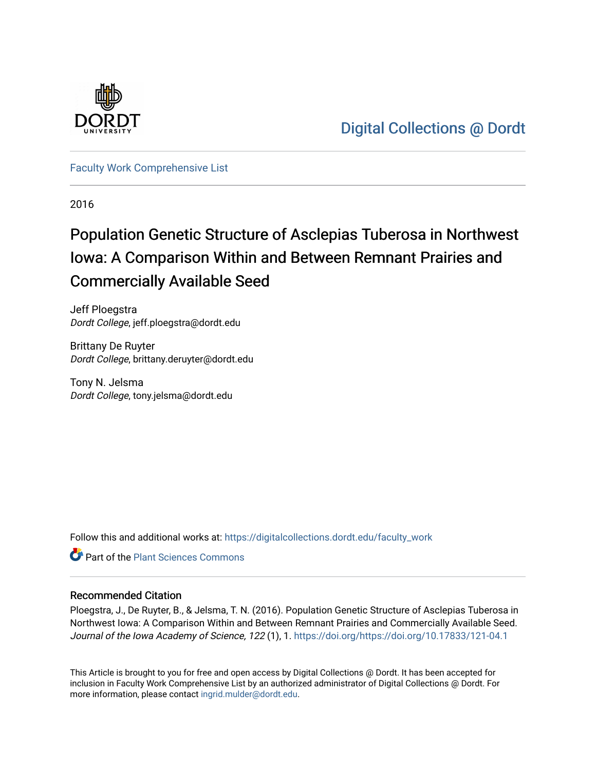

[Digital Collections @ Dordt](https://digitalcollections.dordt.edu/) 

[Faculty Work Comprehensive List](https://digitalcollections.dordt.edu/faculty_work)

2016

# Population Genetic Structure of Asclepias Tuberosa in Northwest Iowa: A Comparison Within and Between Remnant Prairies and Commercially Available Seed

Jeff Ploegstra Dordt College, jeff.ploegstra@dordt.edu

Brittany De Ruyter Dordt College, brittany.deruyter@dordt.edu

Tony N. Jelsma Dordt College, tony.jelsma@dordt.edu

Follow this and additional works at: [https://digitalcollections.dordt.edu/faculty\\_work](https://digitalcollections.dordt.edu/faculty_work?utm_source=digitalcollections.dordt.edu%2Ffaculty_work%2F914&utm_medium=PDF&utm_campaign=PDFCoverPages) 

**C** Part of the [Plant Sciences Commons](http://network.bepress.com/hgg/discipline/102?utm_source=digitalcollections.dordt.edu%2Ffaculty_work%2F914&utm_medium=PDF&utm_campaign=PDFCoverPages)

### Recommended Citation

Ploegstra, J., De Ruyter, B., & Jelsma, T. N. (2016). Population Genetic Structure of Asclepias Tuberosa in Northwest Iowa: A Comparison Within and Between Remnant Prairies and Commercially Available Seed. Journal of the Iowa Academy of Science, 122 (1), 1.<https://doi.org/https://doi.org/10.17833/121-04.1>

This Article is brought to you for free and open access by Digital Collections @ Dordt. It has been accepted for inclusion in Faculty Work Comprehensive List by an authorized administrator of Digital Collections @ Dordt. For more information, please contact [ingrid.mulder@dordt.edu.](mailto:ingrid.mulder@dordt.edu)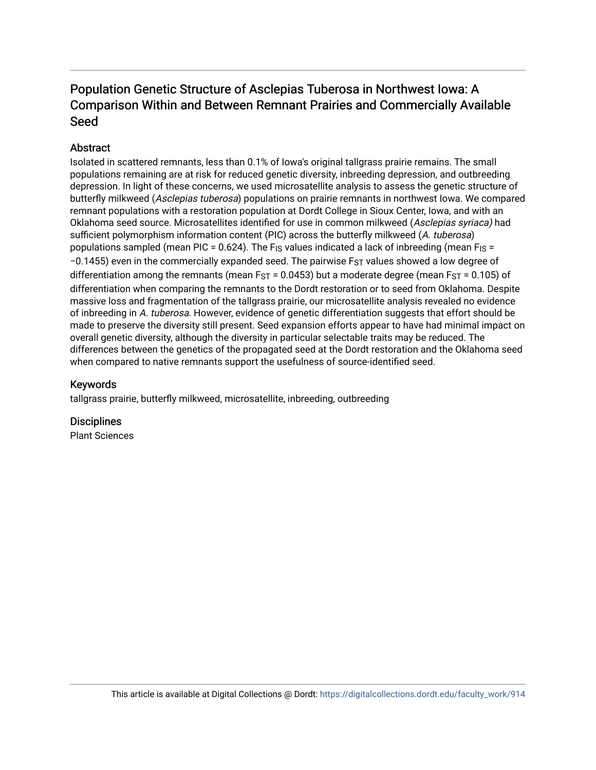# Population Genetic Structure of Asclepias Tuberosa in Northwest Iowa: A Comparison Within and Between Remnant Prairies and Commercially Available Seed

# Abstract

Isolated in scattered remnants, less than 0.1% of Iowa's original tallgrass prairie remains. The small populations remaining are at risk for reduced genetic diversity, inbreeding depression, and outbreeding depression. In light of these concerns, we used microsatellite analysis to assess the genetic structure of butterfly milkweed (Asclepias tuberosa) populations on prairie remnants in northwest Iowa. We compared remnant populations with a restoration population at Dordt College in Sioux Center, Iowa, and with an Oklahoma seed source. Microsatellites identified for use in common milkweed (Asclepias syriaca) had sufficient polymorphism information content (PIC) across the butterfly milkweed (A. tuberosa) populations sampled (mean PIC = 0.624). The F<sub>IS</sub> values indicated a lack of inbreeding (mean F<sub>IS</sub> =  $-0.1455$ ) even in the commercially expanded seed. The pairwise F<sub>ST</sub> values showed a low degree of differentiation among the remnants (mean F $ST = 0.0453$ ) but a moderate degree (mean F $ST = 0.105$ ) of differentiation when comparing the remnants to the Dordt restoration or to seed from Oklahoma. Despite massive loss and fragmentation of the tallgrass prairie, our microsatellite analysis revealed no evidence of inbreeding in A. tuberosa. However, evidence of genetic differentiation suggests that effort should be made to preserve the diversity still present. Seed expansion efforts appear to have had minimal impact on overall genetic diversity, although the diversity in particular selectable traits may be reduced. The differences between the genetics of the propagated seed at the Dordt restoration and the Oklahoma seed when compared to native remnants support the usefulness of source-identified seed.

# Keywords

tallgrass prairie, butterfly milkweed, microsatellite, inbreeding, outbreeding

# **Disciplines**

Plant Sciences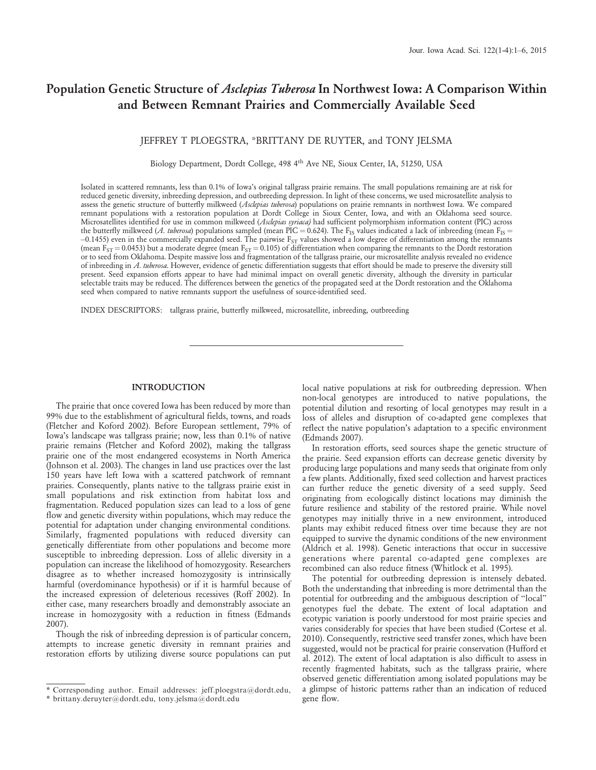# Population Genetic Structure of Asclepias Tuberosa In Northwest Iowa: A Comparison Within and Between Remnant Prairies and Commercially Available Seed

#### JEFFREY T PLOEGSTRA, \*BRITTANY DE RUYTER, and TONY JELSMA

#### Biology Department, Dordt College, 498 4th Ave NE, Sioux Center, IA, 51250, USA

Isolated in scattered remnants, less than 0.1% of Iowa's original tallgrass prairie remains. The small populations remaining are at risk for reduced genetic diversity, inbreeding depression, and outbreeding depression. In light of these concerns, we used microsatellite analysis to assess the genetic structure of butterfly milkweed (Asclepias tuberosa) populations on prairie remnants in northwest Iowa. We compared remnant populations with a restoration population at Dordt College in Sioux Center, Iowa, and with an Oklahoma seed source. Microsatellites identified for use in common milkweed (Asclepias syriaca) had sufficient polymorphism information content (PIC) across the butterfly milkweed (A. tuberosa) populations sampled (mean PIC = 0.624). The F<sub>IS</sub> values indicated a lack of inbreeding (mean F<sub>IS</sub> =  $-0.1455$ ) even in the commercially expanded seed. The pairwise  $F_{ST}$  values showed a low degree of differentiation among the remnants (mean F<sub>ST</sub> = 0.0453) but a moderate degree (mean F<sub>ST</sub> = 0.105) of differentiation when comparing the remnants to the Dordt restoration or to seed from Oklahoma. Despite massive loss and fragmentation of the tallgrass prairie, our microsatellite analysis revealed no evidence of inbreeding in A. tuberosa. However, evidence of genetic differentiation suggests that effort should be made to preserve the diversity still present. Seed expansion efforts appear to have had minimal impact on overall genetic diversity, although the diversity in particular selectable traits may be reduced. The differences between the genetics of the propagated seed at the Dordt restoration and the Oklahoma seed when compared to native remnants support the usefulness of source-identified seed.

INDEX DESCRIPTORS: tallgrass prairie, butterfly milkweed, microsatellite, inbreeding, outbreeding

#### INTRODUCTION

The prairie that once covered Iowa has been reduced by more than 99% due to the establishment of agricultural fields, towns, and roads (Fletcher and Koford 2002). Before European settlement, 79% of Iowa's landscape was tallgrass prairie; now, less than 0.1% of native prairie remains (Fletcher and Koford 2002), making the tallgrass prairie one of the most endangered ecosystems in North America (Johnson et al. 2003). The changes in land use practices over the last 150 years have left Iowa with a scattered patchwork of remnant prairies. Consequently, plants native to the tallgrass prairie exist in small populations and risk extinction from habitat loss and fragmentation. Reduced population sizes can lead to a loss of gene flow and genetic diversity within populations, which may reduce the potential for adaptation under changing environmental conditions. Similarly, fragmented populations with reduced diversity can genetically differentiate from other populations and become more susceptible to inbreeding depression. Loss of allelic diversity in a population can increase the likelihood of homozygosity. Researchers disagree as to whether increased homozygosity is intrinsically harmful (overdominance hypothesis) or if it is harmful because of the increased expression of deleterious recessives (Roff 2002). In either case, many researchers broadly and demonstrably associate an increase in homozygosity with a reduction in fitness (Edmands 2007).

Though the risk of inbreeding depression is of particular concern, attempts to increase genetic diversity in remnant prairies and restoration efforts by utilizing diverse source populations can put

local native populations at risk for outbreeding depression. When non-local genotypes are introduced to native populations, the potential dilution and resorting of local genotypes may result in a loss of alleles and disruption of co-adapted gene complexes that reflect the native population's adaptation to a specific environment (Edmands 2007).

In restoration efforts, seed sources shape the genetic structure of the prairie. Seed expansion efforts can decrease genetic diversity by producing large populations and many seeds that originate from only a few plants. Additionally, fixed seed collection and harvest practices can further reduce the genetic diversity of a seed supply. Seed originating from ecologically distinct locations may diminish the future resilience and stability of the restored prairie. While novel genotypes may initially thrive in a new environment, introduced plants may exhibit reduced fitness over time because they are not equipped to survive the dynamic conditions of the new environment (Aldrich et al. 1998). Genetic interactions that occur in successive generations where parental co-adapted gene complexes are recombined can also reduce fitness (Whitlock et al. 1995).

The potential for outbreeding depression is intensely debated. Both the understanding that inbreeding is more detrimental than the potential for outbreeding and the ambiguous description of ''local'' genotypes fuel the debate. The extent of local adaptation and ecotypic variation is poorly understood for most prairie species and varies considerably for species that have been studied (Cortese et al. 2010). Consequently, restrictive seed transfer zones, which have been suggested, would not be practical for prairie conservation (Hufford et al. 2012). The extent of local adaptation is also difficult to assess in recently fragmented habitats, such as the tallgrass prairie, where observed genetic differentiation among isolated populations may be a glimpse of historic patterns rather than an indication of reduced gene flow.

<sup>\*</sup> Corresponding author. Email addresses: jeff.ploegstra@dordt.edu,

<sup>\*</sup> brittany.deruyter@dordt.edu, tony.jelsma@dordt.edu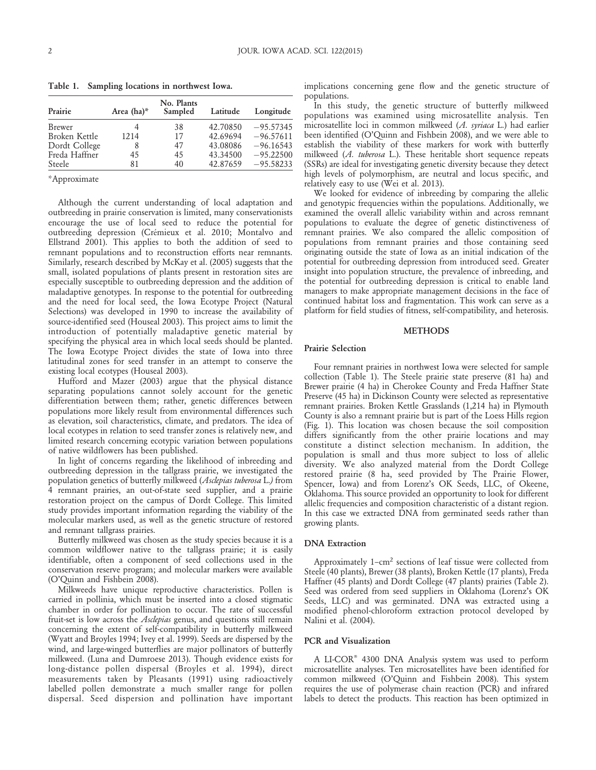Table 1. Sampling locations in northwest Iowa.

| Prairie       | Area (ha)* | No. Plants<br>Sampled | Latitude | Longitude   |
|---------------|------------|-----------------------|----------|-------------|
| <b>Brewer</b> |            | 38                    | 42.70850 | $-95.57345$ |
| Broken Kettle | 1214       | 17                    | 42.69694 | $-96.57611$ |
| Dordt College |            | 47                    | 43.08086 | $-96.16543$ |
| Freda Haffner | 45         | 45                    | 43.34500 | $-95.22500$ |
| Steele        | 81         | 40                    | 42.87659 | $-95.58233$ |

\*Approximate

Although the current understanding of local adaptation and outbreeding in prairie conservation is limited, many conservationists encourage the use of local seed to reduce the potential for outbreeding depression (Crémieux et al. 2010; Montalvo and Ellstrand 2001). This applies to both the addition of seed to remnant populations and to reconstruction efforts near remnants. Similarly, research described by McKay et al. (2005) suggests that the small, isolated populations of plants present in restoration sites are especially susceptible to outbreeding depression and the addition of maladaptive genotypes. In response to the potential for outbreeding and the need for local seed, the Iowa Ecotype Project (Natural Selections) was developed in 1990 to increase the availability of source-identified seed (Houseal 2003). This project aims to limit the introduction of potentially maladaptive genetic material by specifying the physical area in which local seeds should be planted. The Iowa Ecotype Project divides the state of Iowa into three latitudinal zones for seed transfer in an attempt to conserve the existing local ecotypes (Houseal 2003).

Hufford and Mazer (2003) argue that the physical distance separating populations cannot solely account for the genetic differentiation between them; rather, genetic differences between populations more likely result from environmental differences such as elevation, soil characteristics, climate, and predators. The idea of local ecotypes in relation to seed transfer zones is relatively new, and limited research concerning ecotypic variation between populations of native wildflowers has been published.

In light of concerns regarding the likelihood of inbreeding and outbreeding depression in the tallgrass prairie, we investigated the population genetics of butterfly milkweed (Asclepias tuberosa L.) from 4 remnant prairies, an out-of-state seed supplier, and a prairie restoration project on the campus of Dordt College. This limited study provides important information regarding the viability of the molecular markers used, as well as the genetic structure of restored and remnant tallgrass prairies.

Butterfly milkweed was chosen as the study species because it is a common wildflower native to the tallgrass prairie; it is easily identifiable, often a component of seed collections used in the conservation reserve program; and molecular markers were available (O'Quinn and Fishbein 2008).

Milkweeds have unique reproductive characteristics. Pollen is carried in pollinia, which must be inserted into a closed stigmatic chamber in order for pollination to occur. The rate of successful fruit-set is low across the Asclepias genus, and questions still remain concerning the extent of self-compatibility in butterfly milkweed (Wyatt and Broyles 1994; Ivey et al. 1999). Seeds are dispersed by the wind, and large-winged butterflies are major pollinators of butterfly milkweed. (Luna and Dumroese 2013). Though evidence exists for long-distance pollen dispersal (Broyles et al. 1994), direct measurements taken by Pleasants (1991) using radioactively labelled pollen demonstrate a much smaller range for pollen dispersal. Seed dispersion and pollination have important implications concerning gene flow and the genetic structure of populations.

In this study, the genetic structure of butterfly milkweed populations was examined using microsatellite analysis. Ten microsatellite loci in common milkweed (A. syriaca L.) had earlier been identified (O'Quinn and Fishbein 2008), and we were able to establish the viability of these markers for work with butterfly milkweed (A. tuberosa L.). These heritable short sequence repeats (SSRs) are ideal for investigating genetic diversity because they detect high levels of polymorphism, are neutral and locus specific, and relatively easy to use (Wei et al. 2013).

We looked for evidence of inbreeding by comparing the allelic and genotypic frequencies within the populations. Additionally, we examined the overall allelic variability within and across remnant populations to evaluate the degree of genetic distinctiveness of remnant prairies. We also compared the allelic composition of populations from remnant prairies and those containing seed originating outside the state of Iowa as an initial indication of the potential for outbreeding depression from introduced seed. Greater insight into population structure, the prevalence of inbreeding, and the potential for outbreeding depression is critical to enable land managers to make appropriate management decisions in the face of continued habitat loss and fragmentation. This work can serve as a platform for field studies of fitness, self-compatibility, and heterosis.

#### METHODS

#### Prairie Selection

Four remnant prairies in northwest Iowa were selected for sample collection (Table 1). The Steele prairie state preserve (81 ha) and Brewer prairie (4 ha) in Cherokee County and Freda Haffner State Preserve (45 ha) in Dickinson County were selected as representative remnant prairies. Broken Kettle Grasslands (1,214 ha) in Plymouth County is also a remnant prairie but is part of the Loess Hills region (Fig. 1). This location was chosen because the soil composition differs significantly from the other prairie locations and may constitute a distinct selection mechanism. In addition, the population is small and thus more subject to loss of allelic diversity. We also analyzed material from the Dordt College restored prairie (8 ha, seed provided by The Prairie Flower, Spencer, Iowa) and from Lorenz's OK Seeds, LLC, of Okeene, Oklahoma. This source provided an opportunity to look for different allelic frequencies and composition characteristic of a distant region. In this case we extracted DNA from germinated seeds rather than growing plants.

#### DNA Extraction

Approximately 1–cm<sup>2</sup> sections of leaf tissue were collected from Steele (40 plants), Brewer (38 plants), Broken Kettle (17 plants), Freda Haffner (45 plants) and Dordt College (47 plants) prairies (Table 2). Seed was ordered from seed suppliers in Oklahoma (Lorenz's OK Seeds, LLC) and was germinated. DNA was extracted using a modified phenol-chloroform extraction protocol developed by Nalini et al. (2004).

#### PCR and Visualization

A LI-COR® 4300 DNA Analysis system was used to perform microsatellite analyses. Ten microsatellites have been identified for common milkweed (O'Quinn and Fishbein 2008). This system requires the use of polymerase chain reaction (PCR) and infrared labels to detect the products. This reaction has been optimized in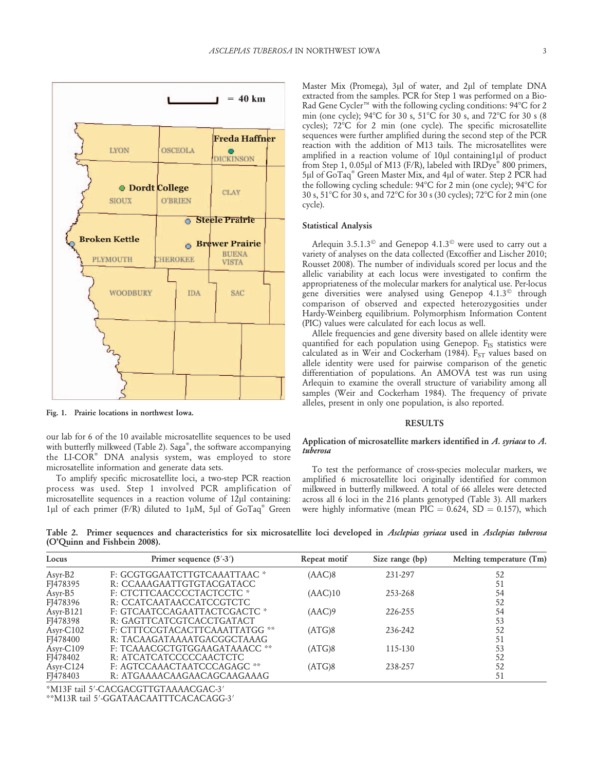

Fig. 1. Prairie locations in northwest Iowa.

our lab for 6 of the 10 available microsatellite sequences to be used with butterfly milkweed (Table 2). Saga<sup>®</sup>, the software accompanying the LI-COR® DNA analysis system, was employed to store microsatellite information and generate data sets.

To amplify specific microsatellite loci, a two-step PCR reaction process was used. Step 1 involved PCR amplification of microsatellite sequences in a reaction volume of 12µl containing: 1µl of each primer (F/R) diluted to 1µM, 5µl of  $GoTaq^*$  Green

Master Mix (Promega), 3µl of water, and 2µl of template DNA extracted from the samples. PCR for Step 1 was performed on a Bio-Rad Gene Cycler<sup>TM</sup> with the following cycling conditions:  $94^{\circ}$ C for 2 min (one cycle);  $94^{\circ}$ C for 30 s,  $51^{\circ}$ C for 30 s, and  $72^{\circ}$ C for 30 s (8 cycles);  $72^{\circ}$ C for 2 min (one cycle). The specific microsatellite sequences were further amplified during the second step of the PCR reaction with the addition of M13 tails. The microsatellites were amplified in a reaction volume of 10µl containing1µl of product from Step 1, 0.05 $\mu$ l of M13 (F/R), labeled with IRDye® 800 primers, 5µl of GoTaq® Green Master Mix, and 4µl of water. Step 2 PCR had the following cycling schedule:  $94^{\circ}$ C for 2 min (one cycle);  $94^{\circ}$ C for 30 s,  $51^{\circ}$ C for 30 s, and  $72^{\circ}$ C for 30 s (30 cycles);  $72^{\circ}$ C for 2 min (one cycle).

#### Statistical Analysis

Arlequin 3.5.1.3<sup> $\circ$ </sup> and Genepop 4.1.3 $\circ$ <sup>o</sup> were used to carry out a variety of analyses on the data collected (Excoffier and Lischer 2010; Rousset 2008). The number of individuals scored per locus and the allelic variability at each locus were investigated to confirm the appropriateness of the molecular markers for analytical use. Per-locus gene diversities were analysed using Genepop  $4.1.3^{\circ}$  through comparison of observed and expected heterozygosities under Hardy-Weinberg equilibrium. Polymorphism Information Content (PIC) values were calculated for each locus as well.

Allele frequencies and gene diversity based on allele identity were quantified for each population using Genepop.  $F_{IS}$  statistics were calculated as in Weir and Cockerham (1984).  $F_{ST}$  values based on allele identity were used for pairwise comparison of the genetic differentiation of populations. An AMOVA test was run using Arlequin to examine the overall structure of variability among all samples (Weir and Cockerham 1984). The frequency of private alleles, present in only one population, is also reported.

#### RESULTS

#### Application of microsatellite markers identified in A. syriaca to A. tuberosa

To test the performance of cross-species molecular markers, we amplified 6 microsatellite loci originally identified for common milkweed in butterfly milkweed. A total of 66 alleles were detected across all 6 loci in the 216 plants genotyped (Table 3). All markers were highly informative (mean  $\overline{PIC} = 0.624$ ,  $SD = 0.157$ ), which

Table 2. Primer sequences and characteristics for six microsatellite loci developed in Asclepias syriaca used in Asclepias tuberosa (O'Quinn and Fishbein 2008).

| Locus       | Primer sequence $(5' - 3')$    | Repeat motif | Size range (bp) | Melting temperature (Tm) |
|-------------|--------------------------------|--------------|-----------------|--------------------------|
| Asyr-B2     | F: GCGTGGAATCTTGTCAAATTAAC *   | (AAC)8       | 231-297         | 52                       |
| FJ478395    | R: CCAAAGAATTGTGTACGATACC      |              |                 | 51                       |
| $Asyr-B5$   | F: CTCTTCAACCCCTACTCCTC *      | (AAC)10      | 253-268         | 54                       |
| FJ478396    | R: CCATCAATAACCATCCGTCTC       |              |                 | 52                       |
| $Asyr-B121$ | F: GTCAATCCAGAATTACTCGACTC *   | (AAC)9       | 226-255         | 54                       |
| FJ478398    | R: GAGTTCATCGTCACCTGATACT      |              |                 | 53                       |
| $Asyr-C102$ | F: CTTTCCGTACACTTCAAATTATGG ** | (ATG)8       | 236-242         | 52                       |
| FJ478400    | R: TACAAGATAAAATGACGGCTAAAG    |              |                 | 51                       |
| Asyr-C109   | F: TCAAACGCTGTGGAAGATAAACC **  | (ATG)8       | 115-130         | 53                       |
| FJ478402    | R: ATCATCATCCCCCCAACTCTC       |              |                 | 52                       |
| Asyr-C124   | F: AGTCCAAACTAATCCCAGAGC **    | (ATG)8       | 238-257         | 52                       |
| FJ478403    | R: ATGAAAACAAGAACAGCAAGAAAG    |              |                 | 51                       |

\*M13F tail 5'-CACGACGTTGTAAAACGAC-3'

\*\* M13R tail 5'-GGATAACAATTTCACACAGG-3'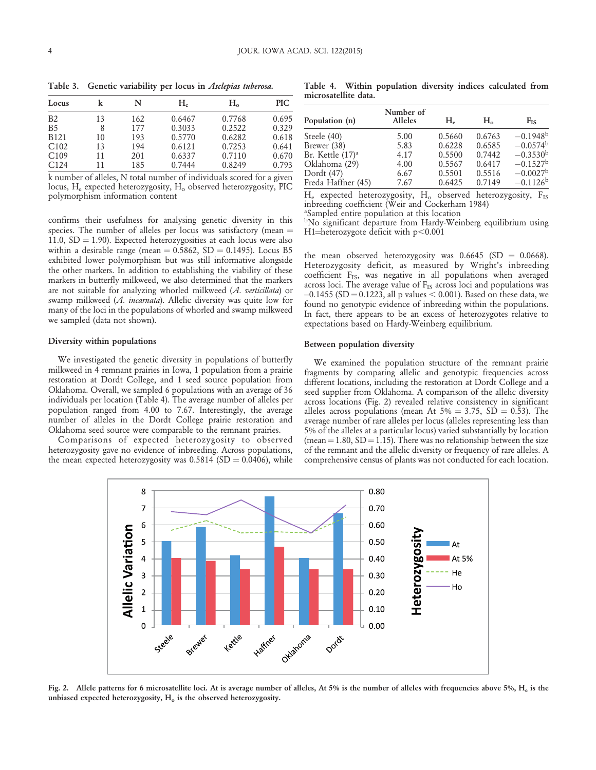Locus k  $N$  H<sub>e</sub> H<sub>o</sub> PIC B2 13 162 0.6467 0.7768 0.695 B5 8 177 0.3033 0.2522 0.329 B121 10 193 0.5770 0.6282 0.618 C102 13 194 0.6121 0.7253 0.641 C109 11 201 0.6337 0.7110 0.670

Table 3. Genetic variability per locus in Asclepias tuberosa.

k number of alleles, N total number of individuals scored for a given locus,  $H_e$  expected heterozygosity,  $H_o$  observed heterozygosity, PIC polymorphism information content

C124 11 185 0.7444 0.8249 0.793

confirms their usefulness for analysing genetic diversity in this species. The number of alleles per locus was satisfactory (mean  $=$ 11.0,  $SD = 1.90$ ). Expected heterozygosities at each locus were also within a desirable range (mean =  $0.5862$ , SD = 0.1495). Locus B5 exhibited lower polymorphism but was still informative alongside the other markers. In addition to establishing the viability of these markers in butterfly milkweed, we also determined that the markers are not suitable for analyzing whorled milkweed (A. verticillata) or swamp milkweed (A. incarnata). Allelic diversity was quite low for many of the loci in the populations of whorled and swamp milkweed we sampled (data not shown).

#### Diversity within populations

We investigated the genetic diversity in populations of butterfly milkweed in 4 remnant prairies in Iowa, 1 population from a prairie restoration at Dordt College, and 1 seed source population from Oklahoma. Overall, we sampled 6 populations with an average of 36 individuals per location (Table 4). The average number of alleles per population ranged from 4.00 to 7.67. Interestingly, the average number of alleles in the Dordt College prairie restoration and Oklahoma seed source were comparable to the remnant prairies.

Comparisons of expected heterozygosity to observed heterozygosity gave no evidence of inbreeding. Across populations, the mean expected heterozygosity was  $0.5814$  (SD = 0.0406), while

Table 4. Within population diversity indices calculated from microsatellite data.

| Population (n)     | Number of<br><b>Alleles</b> | $H_{\scriptscriptstyle e}$ | $H_{\alpha}$ | $F_{IS}$               |
|--------------------|-----------------------------|----------------------------|--------------|------------------------|
| Steele (40)        | 5.00                        | 0.5660                     | 0.6763       | $-0.1948$ <sup>b</sup> |
| Brewer (38)        | 5.83                        | 0.6228                     | 0.6585       | $-0.0574b$             |
| Br. Kettle (17)ª   | 4.17                        | 0.5500                     | 0.7442       | $-0.3530^{b}$          |
| Oklahoma (29)      | 4.00                        | 0.5567                     | 0.6417       | $-0.1527^{\rm b}$      |
| Dordt (47)         | 6.67                        | 0.5501                     | 0.5516       | $-0.0027b$             |
| Freda Haffner (45) | 7.67                        | 0.6425                     | 0.7149       | $-0.1126^{\rm b}$      |
|                    |                             |                            |              |                        |

 $H_e$  expected heterozygosity,  $H_o$  observed heterozygosity,  $F_{IS}$ inbreeding coefficient (Weir and Cockerham 1984)

a Sampled entire population at this location

bNo significant departure from Hardy-Weinberg equilibrium using H1 $=$ heterozygote deficit with p $<$ 0.001

the mean observed heterozygosity was  $0.6645$  (SD = 0.0668). Heterozygosity deficit, as measured by Wright's inbreeding coefficient F<sub>IS</sub>, was negative in all populations when averaged across loci. The average value of F<sub>IS</sub> across loci and populations was  $-0.1455$  (SD = 0.1223, all p values  $<$  0.001). Based on these data, we found no genotypic evidence of inbreeding within the populations. In fact, there appears to be an excess of heterozygotes relative to expectations based on Hardy-Weinberg equilibrium.

#### Between population diversity

We examined the population structure of the remnant prairie fragments by comparing allelic and genotypic frequencies across different locations, including the restoration at Dordt College and a seed supplier from Oklahoma. A comparison of the allelic diversity across locations (Fig. 2) revealed relative consistency in significant alleles across populations (mean At  $5\% = 3.75$ ,  $SD = 0.53$ ). The average number of rare alleles per locus (alleles representing less than 5% of the alleles at a particular locus) varied substantially by location (mean = 1.80,  $SD = 1.15$ ). There was no relationship between the size of the remnant and the allelic diversity or frequency of rare alleles. A comprehensive census of plants was not conducted for each location.



Fig. 2. Allele patterns for 6 microsatellite loci. At is average number of alleles, At 5% is the number of alleles with frequencies above 5%, H<sub>e</sub> is the unbiased expected heterozygosity,  $H<sub>o</sub>$  is the observed heterozygosity.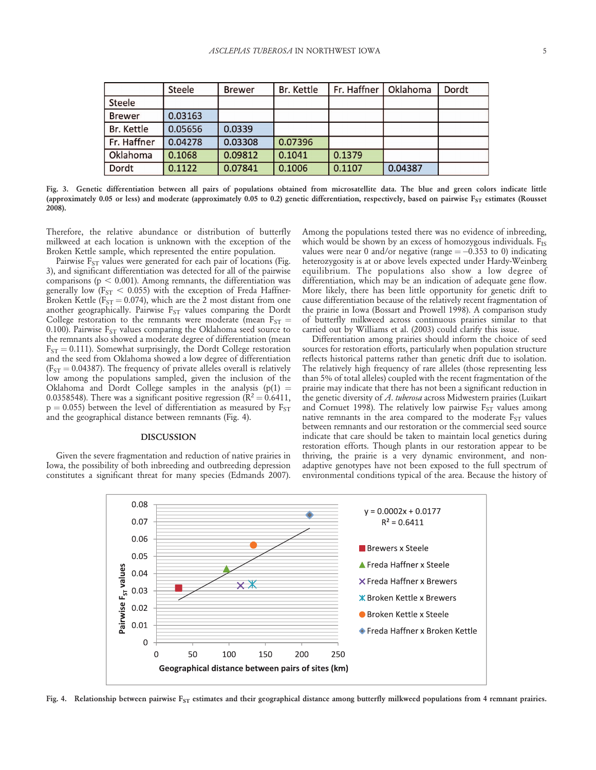|               | Steele  | <b>Brewer</b> | Br. Kettle | Fr. Haffner | Doklahoma | Dordt |
|---------------|---------|---------------|------------|-------------|-----------|-------|
| Steele        |         |               |            |             |           |       |
| <b>Brewer</b> | 0.03163 |               |            |             |           |       |
| Br. Kettle    | 0.05656 | 0.0339        |            |             |           |       |
| Fr. Haffner   | 0.04278 | 0.03308       | 0.07396    |             |           |       |
| Oklahoma      | 0.1068  | 0.09812       | 0.1041     | 0.1379      |           |       |
| Dordt         | 0.1122  | 0.07841       | 0.1006     | 0.1107      | 0.04387   |       |

Fig. 3. Genetic differentiation between all pairs of populations obtained from microsatellite data. The blue and green colors indicate little (approximately 0.05 or less) and moderate (approximately 0.05 to 0.2) genetic differentiation, respectively, based on pairwise  $F_{ST}$  estimates (Rousset 2008).

Therefore, the relative abundance or distribution of butterfly milkweed at each location is unknown with the exception of the Broken Kettle sample, which represented the entire population.

Pairwise  $F_{ST}$  values were generated for each pair of locations (Fig. 3), and significant differentiation was detected for all of the pairwise comparisons ( $p < 0.001$ ). Among remnants, the differentiation was generally low  $(F_{ST} < 0.055)$  with the exception of Freda Haffner-Broken Kettle ( $F_{ST} = 0.074$ ), which are the 2 most distant from one another geographically. Pairwise  $F_{ST}$  values comparing the Dordt College restoration to the remnants were moderate (mean  $F_{ST}$  = 0.100). Pairwise  $F_{ST}$  values comparing the Oklahoma seed source to the remnants also showed a moderate degree of differentiation (mean  $F_{ST} = 0.111$ ). Somewhat surprisingly, the Dordt College restoration and the seed from Oklahoma showed a low degree of differentiation  $(F<sub>ST</sub> = 0.04387)$ . The frequency of private alleles overall is relatively low among the populations sampled, given the inclusion of the Oklahoma and Dordt College samples in the analysis (p(1) = 0.0358548). There was a significant positive regression ( $R^2 = 0.6411$ ,  $p = 0.055$ ) between the level of differentiation as measured by  $F_{ST}$ and the geographical distance between remnants (Fig. 4).

#### DISCUSSION

Given the severe fragmentation and reduction of native prairies in Iowa, the possibility of both inbreeding and outbreeding depression constitutes a significant threat for many species (Edmands 2007). Among the populations tested there was no evidence of inbreeding, which would be shown by an excess of homozygous individuals.  $F_{IS}$ values were near 0 and/or negative (range  $=$  -0.353 to 0) indicating heterozygosity is at or above levels expected under Hardy-Weinberg equilibrium. The populations also show a low degree of differentiation, which may be an indication of adequate gene flow. More likely, there has been little opportunity for genetic drift to cause differentiation because of the relatively recent fragmentation of the prairie in Iowa (Bossart and Prowell 1998). A comparison study of butterfly milkweed across continuous prairies similar to that carried out by Williams et al. (2003) could clarify this issue.

Differentiation among prairies should inform the choice of seed sources for restoration efforts, particularly when population structure reflects historical patterns rather than genetic drift due to isolation. The relatively high frequency of rare alleles (those representing less than 5% of total alleles) coupled with the recent fragmentation of the prairie may indicate that there has not been a significant reduction in the genetic diversity of A. tuberosa across Midwestern prairies (Luikart and Cornuet 1998). The relatively low pairwise  $F_{ST}$  values among native remnants in the area compared to the moderate  $F_{ST}$  values between remnants and our restoration or the commercial seed source indicate that care should be taken to maintain local genetics during restoration efforts. Though plants in our restoration appear to be thriving, the prairie is a very dynamic environment, and nonadaptive genotypes have not been exposed to the full spectrum of environmental conditions typical of the area. Because the history of



Fig. 4. Relationship between pairwise  $F_{ST}$  estimates and their geographical distance among butterfly milkweed populations from 4 remnant prairies.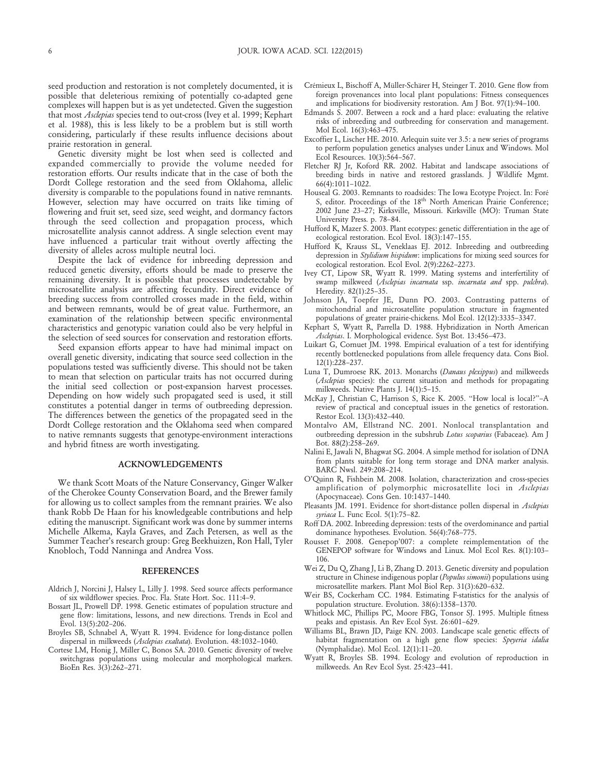seed production and restoration is not completely documented, it is possible that deleterious remixing of potentially co-adapted gene complexes will happen but is as yet undetected. Given the suggestion that most Asclepias species tend to out-cross (Ivey et al. 1999; Kephart et al. 1988), this is less likely to be a problem but is still worth considering, particularly if these results influence decisions about prairie restoration in general.

Genetic diversity might be lost when seed is collected and expanded commercially to provide the volume needed for restoration efforts. Our results indicate that in the case of both the Dordt College restoration and the seed from Oklahoma, allelic diversity is comparable to the populations found in native remnants. However, selection may have occurred on traits like timing of flowering and fruit set, seed size, seed weight, and dormancy factors through the seed collection and propagation process, which microsatellite analysis cannot address. A single selection event may have influenced a particular trait without overtly affecting the diversity of alleles across multiple neutral loci.

Despite the lack of evidence for inbreeding depression and reduced genetic diversity, efforts should be made to preserve the remaining diversity. It is possible that processes undetectable by microsatellite analysis are affecting fecundity. Direct evidence of breeding success from controlled crosses made in the field, within and between remnants, would be of great value. Furthermore, an examination of the relationship between specific environmental characteristics and genotypic variation could also be very helpful in the selection of seed sources for conservation and restoration efforts.

Seed expansion efforts appear to have had minimal impact on overall genetic diversity, indicating that source seed collection in the populations tested was sufficiently diverse. This should not be taken to mean that selection on particular traits has not occurred during the initial seed collection or post-expansion harvest processes. Depending on how widely such propagated seed is used, it still constitutes a potential danger in terms of outbreeding depression. The differences between the genetics of the propagated seed in the Dordt College restoration and the Oklahoma seed when compared to native remnants suggests that genotype-environment interactions and hybrid fitness are worth investigating.

#### ACKNOWLEDGEMENTS

We thank Scott Moats of the Nature Conservancy, Ginger Walker of the Cherokee County Conservation Board, and the Brewer family for allowing us to collect samples from the remnant prairies. We also thank Robb De Haan for his knowledgeable contributions and help editing the manuscript. Significant work was done by summer interns Michelle Alkema, Kayla Graves, and Zach Petersen, as well as the Summer Teacher's research group: Greg Beekhuizen, Ron Hall, Tyler Knobloch, Todd Nanninga and Andrea Voss.

#### **REFERENCES**

- Aldrich J, Norcini J, Halsey L, Lilly J. 1998. Seed source affects performance of six wildflower species. Proc. Fla. State Hort. Soc. 111:4–9.
- Bossart JL, Prowell DP. 1998. Genetic estimates of population structure and gene flow: limitations, lessons, and new directions. Trends in Ecol and Evol. 13(5):202–206.
- Broyles SB, Schnabel A, Wyatt R. 1994. Evidence for long-distance pollen dispersal in milkweeds (Asclepias exaltata). Evolution. 48:1032-1040.
- Cortese LM, Honig J, Miller C, Bonos SA. 2010. Genetic diversity of twelve switchgrass populations using molecular and morphological markers. BioEn Res. 3(3):262–271.
- Crémieux L, Bischoff A, Müller-Schärer H, Steinger T. 2010. Gene flow from foreign provenances into local plant populations: Fitness consequences and implications for biodiversity restoration. Am J Bot. 97(1):94–100.
- Edmands S. 2007. Between a rock and a hard place: evaluating the relative risks of inbreeding and outbreeding for conservation and management. Mol Ecol. 16(3):463–475.
- Excoffier L, Lischer HE. 2010. Arlequin suite ver 3.5: a new series of programs to perform population genetics analyses under Linux and Windows. Mol Ecol Resources. 10(3):564–567.
- Fletcher RJ Jr, Koford RR. 2002. Habitat and landscape associations of breeding birds in native and restored grasslands. J Wildlife Mgmt. 66(4):1011–1022.
- Houseal G. 2003. Remnants to roadsides: The Iowa Ecotype Project. In: Foré S, editor. Proceedings of the 18<sup>th</sup> North American Prairie Conference; 2002 June 23–27; Kirksville, Missouri. Kirksville (MO): Truman State University Press. p. 78–84.
- Hufford K, Mazer S. 2003. Plant ecotypes: genetic differentiation in the age of ecological restoration. Ecol Evol. 18(3):147–155.
- Hufford K, Krauss SL, Veneklaas EJ. 2012. Inbreeding and outbreeding depression in Stylidium hispidum: implications for mixing seed sources for ecological restoration. Ecol Evol. 2(9):2262–2273.
- Ivey CT, Lipow SR, Wyatt R. 1999. Mating systems and interfertility of swamp milkweed (Asclepias incarnata ssp. incarnata and spp. pulchra). Heredity. 82(1):25–35.
- Johnson JA, Toepfer JE, Dunn PO. 2003. Contrasting patterns of mitochondrial and microsatellite population structure in fragmented populations of greater prairie-chickens. Mol Ecol. 12(12):3335–3347.
- Kephart S, Wyatt R, Parrella D. 1988. Hybridization in North American Asclepias. I. Morphological evidence. Syst Bot. 13:456–473.
- Luikart G, Cornuet JM. 1998. Empirical evaluation of a test for identifying recently bottlenecked populations from allele frequency data. Cons Biol. 12(1):228–237.
- Luna T, Dumroese RK. 2013. Monarchs (Danaus plexippus) and milkweeds (Asclepias species): the current situation and methods for propagating milkweeds. Native Plants J. 14(1):5–15.
- McKay J, Christian C, Harrison S, Rice K. 2005. ''How local is local?''–A review of practical and conceptual issues in the genetics of restoration. Restor Ecol. 13(3):432–440.
- Montalvo AM, Ellstrand NC. 2001. Nonlocal transplantation and outbreeding depression in the subshrub Lotus scoparius (Fabaceae). Am J Bot. 88(2):258–269.
- Nalini E, Jawali N, Bhagwat SG. 2004. A simple method for isolation of DNA from plants suitable for long term storage and DNA marker analysis. BARC Nwsl. 249:208–214.
- O'Quinn R, Fishbein M. 2008. Isolation, characterization and cross-species amplification of polymorphic microsatellite loci in Asclepias (Apocynaceae). Cons Gen. 10:1437–1440.
- Pleasants JM. 1991. Evidence for short-distance pollen dispersal in Asclepias syriaca L. Func Ecol. 5(1):75–82.
- Roff DA. 2002. Inbreeding depression: tests of the overdominance and partial dominance hypotheses. Evolution. 56(4):768–775.
- Rousset F. 2008. Genepop'007: a complete reimplementation of the GENEPOP software for Windows and Linux. Mol Ecol Res. 8(1):103– 106.
- Wei Z, Du Q, Zhang J, Li B, Zhang D. 2013. Genetic diversity and population structure in Chinese indigenous poplar (Populus simonii) populations using microsatellite markers. Plant Mol Biol Rep. 31(3):620–632.
- Weir BS, Cockerham CC. 1984. Estimating F-statistics for the analysis of population structure. Evolution. 38(6):1358–1370.
- Whitlock MC, Phillips PC, Moore FBG, Tonsor SJ. 1995. Multiple fitness peaks and epistasis. An Rev Ecol Syst. 26:601–629.
- Williams BL, Brawn JD, Paige KN. 2003. Landscape scale genetic effects of habitat fragmentation on a high gene flow species: Speyeria idalia (Nymphalidae). Mol Ecol. 12(1):11–20.
- Wyatt R, Broyles SB. 1994. Ecology and evolution of reproduction in milkweeds. An Rev Ecol Syst. 25:423–441.